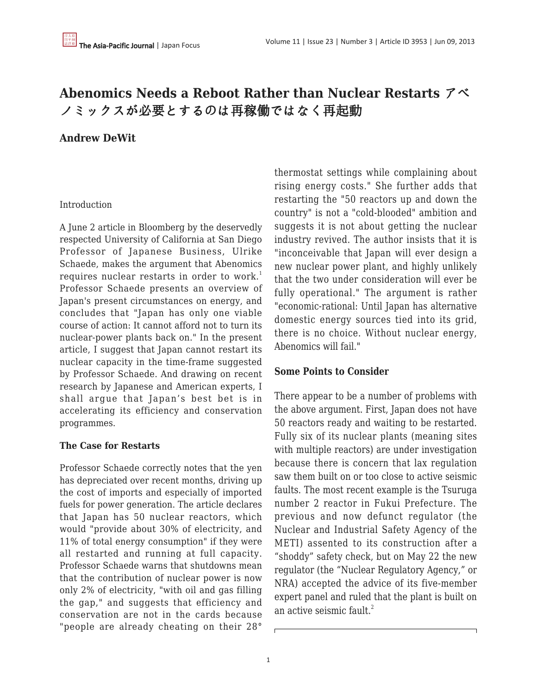# **Abenomics Needs a Reboot Rather than Nuclear Restarts** アベ ノミックスが必要とするのは再稼働ではなく再起動

# **Andrew DeWit**

## Introduction

A June 2 article in Bloomberg by the deservedly respected University of California at San Diego Professor of Japanese Business, Ulrike Schaede, makes the argument that Abenomics requires nuclear restarts in order to work.<sup>1</sup> Professor Schaede presents an overview of Japan's present circumstances on energy, and concludes that "Japan has only one viable course of action: It cannot afford not to turn its nuclear-power plants back on." In the present article, I suggest that Japan cannot restart its nuclear capacity in the time-frame suggested by Professor Schaede. And drawing on recent research by Japanese and American experts, I shall argue that Japan's best bet is in accelerating its efficiency and conservation programmes.

# **The Case for Restarts**

Professor Schaede correctly notes that the yen has depreciated over recent months, driving up the cost of imports and especially of imported fuels for power generation. The article declares that Japan has 50 nuclear reactors, which would "provide about 30% of electricity, and 11% of total energy consumption" if they were all restarted and running at full capacity. Professor Schaede warns that shutdowns mean that the contribution of nuclear power is now only 2% of electricity, "with oil and gas filling the gap," and suggests that efficiency and conservation are not in the cards because "people are already cheating on their 28°

thermostat settings while complaining about rising energy costs." She further adds that restarting the "50 reactors up and down the country" is not a "cold-blooded" ambition and suggests it is not about getting the nuclear industry revived. The author insists that it is "inconceivable that Japan will ever design a new nuclear power plant, and highly unlikely that the two under consideration will ever be fully operational." The argument is rather "economic-rational: Until Japan has alternative domestic energy sources tied into its grid, there is no choice. Without nuclear energy, Abenomics will fail."

# **Some Points to Consider**

There appear to be a number of problems with the above argument. First, Japan does not have 50 reactors ready and waiting to be restarted. Fully six of its nuclear plants (meaning sites with multiple reactors) are under investigation because there is concern that lax regulation saw them built on or too close to active seismic faults. The most recent example is the Tsuruga number 2 reactor in Fukui Prefecture. The previous and now defunct regulator (the Nuclear and Industrial Safety Agency of the METI) assented to its construction after a "shoddy" safety check, but on May 22 the new regulator (the "Nuclear Regulatory Agency," or NRA) accepted the advice of its five-member expert panel and ruled that the plant is built on an active seismic fault. $^{2}$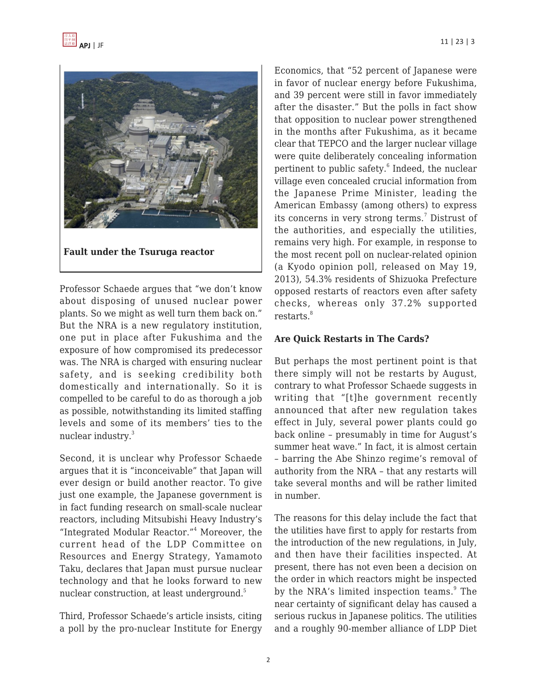



**Fault under the Tsuruga reactor**

Professor Schaede argues that "we don't know about disposing of unused nuclear power plants. So we might as well turn them back on." But the NRA is a new regulatory institution, one put in place after Fukushima and the exposure of how compromised its predecessor was. The NRA is charged with ensuring nuclear safety, and is seeking credibility both domestically and internationally. So it is compelled to be careful to do as thorough a job as possible, notwithstanding its limited staffing levels and some of its members' ties to the nuclear industry.<sup>3</sup>

Second, it is unclear why Professor Schaede argues that it is "inconceivable" that Japan will ever design or build another reactor. To give just one example, the Japanese government is in fact funding research on small-scale nuclear reactors, including Mitsubishi Heavy Industry's "Integrated Modular Reactor."<sup>4</sup> Moreover, the current head of the LDP Committee on Resources and Energy Strategy, Yamamoto Taku, declares that Japan must pursue nuclear technology and that he looks forward to new nuclear construction, at least underground.<sup>5</sup>

Third, Professor Schaede's article insists, citing a poll by the pro-nuclear Institute for Energy Economics, that "52 percent of Japanese were in favor of nuclear energy before Fukushima, and 39 percent were still in favor immediately after the disaster." But the polls in fact show that opposition to nuclear power strengthened in the months after Fukushima, as it became clear that TEPCO and the larger nuclear village were quite deliberately concealing information pertinent to public safety.<sup>6</sup> Indeed, the nuclear village even concealed crucial information from the Japanese Prime Minister, leading the American Embassy (among others) to express its concerns in very strong terms.<sup>7</sup> Distrust of the authorities, and especially the utilities, remains very high. For example, in response to the most recent poll on nuclear-related opinion (a Kyodo opinion poll, released on May 19, 2013), 54.3% residents of Shizuoka Prefecture opposed restarts of reactors even after safety checks, whereas only 37.2% supported restarts.<sup>8</sup>

#### **Are Quick Restarts in The Cards?**

But perhaps the most pertinent point is that there simply will not be restarts by August, contrary to what Professor Schaede suggests in writing that "[t]he government recently announced that after new regulation takes effect in July, several power plants could go back online – presumably in time for August's summer heat wave." In fact, it is almost certain – barring the Abe Shinzo regime's removal of authority from the NRA – that any restarts will take several months and will be rather limited in number.

The reasons for this delay include the fact that the utilities have first to apply for restarts from the introduction of the new regulations, in July, and then have their facilities inspected. At present, there has not even been a decision on the order in which reactors might be inspected by the NRA's limited inspection teams.<sup>9</sup> The near certainty of significant delay has caused a serious ruckus in Japanese politics. The utilities and a roughly 90-member alliance of LDP Diet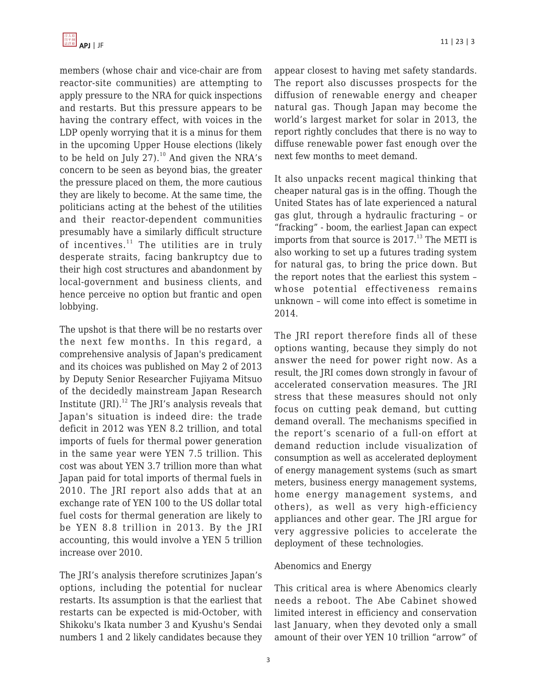

members (whose chair and vice-chair are from reactor-site communities) are attempting to apply pressure to the NRA for quick inspections and restarts. But this pressure appears to be having the contrary effect, with voices in the LDP openly worrying that it is a minus for them in the upcoming Upper House elections (likely to be held on July 27). $^{10}$  And given the NRA's concern to be seen as beyond bias, the greater the pressure placed on them, the more cautious they are likely to become. At the same time, the politicians acting at the behest of the utilities and their reactor-dependent communities presumably have a similarly difficult structure of incentives. $11$  The utilities are in truly desperate straits, facing bankruptcy due to their high cost structures and abandonment by local-government and business clients, and hence perceive no option but frantic and open lobbying.

The upshot is that there will be no restarts over the next few months. In this regard, a comprehensive analysis of Japan's predicament and its choices was published on May 2 of 2013 by Deputy Senior Researcher Fujiyama Mitsuo of the decidedly mainstream Japan Research Institute  $\text{[RI]}^{12}$  The  $\text{[RI's}$  analysis reveals that Japan's situation is indeed dire: the trade deficit in 2012 was YEN 8.2 trillion, and total imports of fuels for thermal power generation in the same year were YEN 7.5 trillion. This cost was about YEN 3.7 trillion more than what Japan paid for total imports of thermal fuels in 2010. The JRI report also adds that at an exchange rate of YEN 100 to the US dollar total fuel costs for thermal generation are likely to be YEN 8.8 trillion in 2013. By the JRI accounting, this would involve a YEN 5 trillion increase over 2010.

The JRI's analysis therefore scrutinizes Japan's options, including the potential for nuclear restarts. Its assumption is that the earliest that restarts can be expected is mid-October, with Shikoku's Ikata number 3 and Kyushu's Sendai numbers 1 and 2 likely candidates because they appear closest to having met safety standards. The report also discusses prospects for the diffusion of renewable energy and cheaper natural gas. Though Japan may become the world's largest market for solar in 2013, the report rightly concludes that there is no way to diffuse renewable power fast enough over the next few months to meet demand.

It also unpacks recent magical thinking that cheaper natural gas is in the offing. Though the United States has of late experienced a natural gas glut, through a hydraulic fracturing – or "fracking" - boom, the earliest Japan can expect imports from that source is  $2017<sup>13</sup>$ . The METI is also working to set up a futures trading system for natural gas, to bring the price down. But the report notes that the earliest this system – whose potential effectiveness remains unknown – will come into effect is sometime in 2014.

The JRI report therefore finds all of these options wanting, because they simply do not answer the need for power right now. As a result, the JRI comes down strongly in favour of accelerated conservation measures. The JRI stress that these measures should not only focus on cutting peak demand, but cutting demand overall. The mechanisms specified in the report's scenario of a full-on effort at demand reduction include visualization of consumption as well as accelerated deployment of energy management systems (such as smart meters, business energy management systems, home energy management systems, and others), as well as very high-efficiency appliances and other gear. The JRI argue for very aggressive policies to accelerate the deployment of these technologies.

#### Abenomics and Energy

This critical area is where Abenomics clearly needs a reboot. The Abe Cabinet showed limited interest in efficiency and conservation last January, when they devoted only a small amount of their over YEN 10 trillion "arrow" of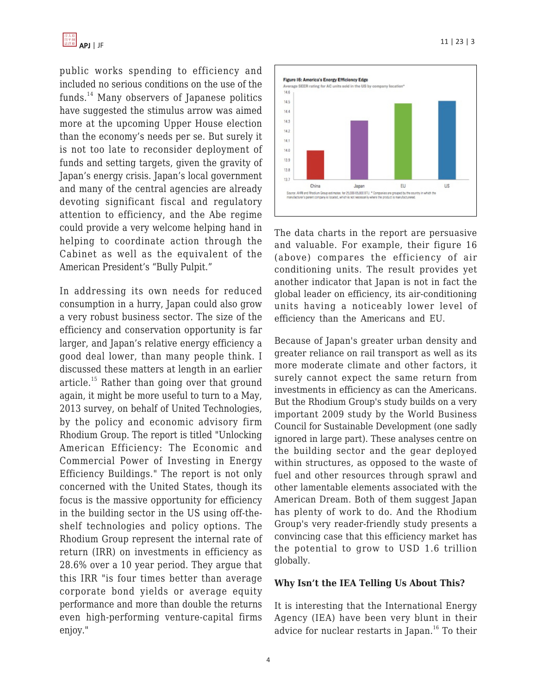

public works spending to efficiency and included no serious conditions on the use of the funds.<sup>14</sup> Many observers of Japanese politics have suggested the stimulus arrow was aimed more at the upcoming Upper House election than the economy's needs per se. But surely it is not too late to reconsider deployment of funds and setting targets, given the gravity of Japan's energy crisis. Japan's local government and many of the central agencies are already devoting significant fiscal and regulatory attention to efficiency, and the Abe regime could provide a very welcome helping hand in helping to coordinate action through the Cabinet as well as the equivalent of the American President's "Bully Pulpit."

In addressing its own needs for reduced consumption in a hurry, Japan could also grow a very robust business sector. The size of the efficiency and conservation opportunity is far larger, and Japan's relative energy efficiency a good deal lower, than many people think. I discussed these matters at length in an earlier article.<sup>15</sup> Rather than going over that ground again, it might be more useful to turn to a May, 2013 survey, on behalf of United Technologies, by the policy and economic advisory firm Rhodium Group. The report is titled "Unlocking American Efficiency: The Economic and Commercial Power of Investing in Energy Efficiency Buildings." The report is not only concerned with the United States, though its focus is the massive opportunity for efficiency in the building sector in the US using off-theshelf technologies and policy options. The Rhodium Group represent the internal rate of return (IRR) on investments in efficiency as 28.6% over a 10 year period. They argue that this IRR "is four times better than average corporate bond yields or average equity performance and more than double the returns even high-performing venture-capital firms enjoy."



The data charts in the report are persuasive and valuable. For example, their figure 16 (above) compares the efficiency of air conditioning units. The result provides yet another indicator that Japan is not in fact the global leader on efficiency, its air-conditioning units having a noticeably lower level of efficiency than the Americans and EU.

Because of Japan's greater urban density and greater reliance on rail transport as well as its more moderate climate and other factors, it surely cannot expect the same return from investments in efficiency as can the Americans. But the Rhodium Group's study builds on a very important 2009 study by the World Business Council for Sustainable Development (one sadly ignored in large part). These analyses centre on the building sector and the gear deployed within structures, as opposed to the waste of fuel and other resources through sprawl and other lamentable elements associated with the American Dream. Both of them suggest Japan has plenty of work to do. And the Rhodium Group's very reader-friendly study presents a convincing case that this efficiency market has the potential to grow to USD 1.6 trillion globally.

#### **Why Isn't the IEA Telling Us About This?**

It is interesting that the International Energy Agency (IEA) have been very blunt in their advice for nuclear restarts in Japan.<sup>16</sup> To their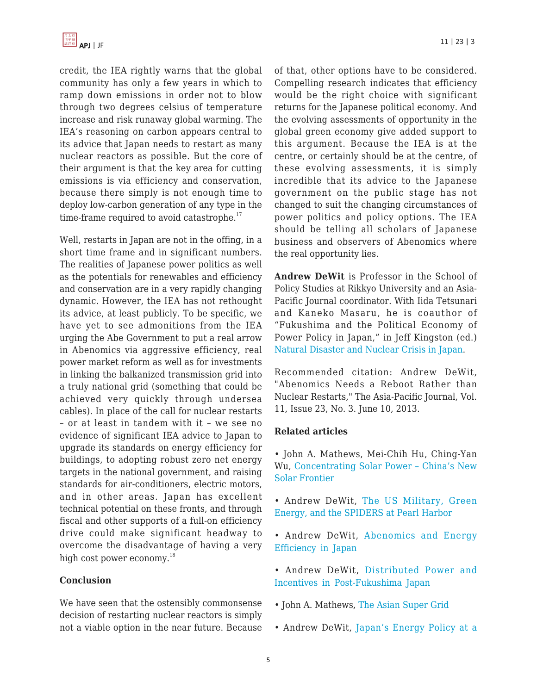

credit, the IEA rightly warns that the global community has only a few years in which to ramp down emissions in order not to blow through two degrees celsius of temperature increase and risk runaway global warming. The IEA's reasoning on carbon appears central to its advice that Japan needs to restart as many nuclear reactors as possible. But the core of their argument is that the key area for cutting emissions is via efficiency and conservation, because there simply is not enough time to deploy low-carbon generation of any type in the time-frame required to avoid catastrophe. $17$ 

Well, restarts in Japan are not in the offing, in a short time frame and in significant numbers. The realities of Japanese power politics as well as the potentials for renewables and efficiency and conservation are in a very rapidly changing dynamic. However, the IEA has not rethought its advice, at least publicly. To be specific, we have yet to see admonitions from the IEA urging the Abe Government to put a real arrow in Abenomics via aggressive efficiency, real power market reform as well as for investments in linking the balkanized transmission grid into a truly national grid (something that could be achieved very quickly through undersea cables). In place of the call for nuclear restarts – or at least in tandem with it – we see no evidence of significant IEA advice to Japan to upgrade its standards on energy efficiency for buildings, to adopting robust zero net energy targets in the national government, and raising standards for air-conditioners, electric motors, and in other areas. Japan has excellent technical potential on these fronts, and through fiscal and other supports of a full-on efficiency drive could make significant headway to overcome the disadvantage of having a very high cost power economy.<sup>18</sup>

#### **Conclusion**

We have seen that the ostensibly commonsense decision of restarting nuclear reactors is simply not a viable option in the near future. Because of that, other options have to be considered. Compelling research indicates that efficiency would be the right choice with significant returns for the Japanese political economy. And the evolving assessments of opportunity in the global green economy give added support to this argument. Because the IEA is at the centre, or certainly should be at the centre, of these evolving assessments, it is simply incredible that its advice to the Japanese government on the public stage has not changed to suit the changing circumstances of power politics and policy options. The IEA should be telling all scholars of Japanese business and observers of Abenomics where the real opportunity lies.

**Andrew DeWit** is Professor in the School of Policy Studies at Rikkyo University and an Asia-Pacific Journal coordinator. With Iida Tetsunari and Kaneko Masaru, he is coauthor of "Fukushima and the Political Economy of Power Policy in Japan," in Jeff Kingston (ed.) [Natural Disaster and Nuclear Crisis in Japan.](http://amzn.com/0415698561/?tag=theasipacjo0b-20)

Recommended citation: Andrew DeWit, "Abenomics Needs a Reboot Rather than Nuclear Restarts," The Asia-Pacific Journal, Vol. 11, Issue 23, No. 3. June 10, 2013.

## **Related articles**

• John A. Mathews, Mei-Chih Hu, Ching-Yan Wu, [Concentrating Solar Power – China's New](http://www.japanfocus.org/-Ching_Yan-Wu/3946) [Solar Frontier](http://www.japanfocus.org/-Ching_Yan-Wu/3946)

- Andrew DeWit, [The US Military, Green](http://www.japanfocus.org/-Andrew-DeWit/3909) [Energy, and the SPIDERS at Pearl Harbor](http://www.japanfocus.org/-Andrew-DeWit/3909)
- Andrew DeWit, [Abenomics and Energy](http://www.japanfocus.org/-Andrew-DeWit/3900) [Efficiency in Japan](http://www.japanfocus.org/-Andrew-DeWit/3900)
- Andrew DeWit, [Distributed Power and](http://www.japanfocus.org/-Andrew-DeWit/3861) [Incentives in Post-Fukushima Japan](http://www.japanfocus.org/-Andrew-DeWit/3861)
- John A. Mathews, [The Asian Super Grid](http://www.japanfocus.org/-John_A_-Mathews/3858)
- Andrew DeWit, [Japan's Energy Policy at a](http://www.japanfocus.org/-Andrew-DeWit/3831)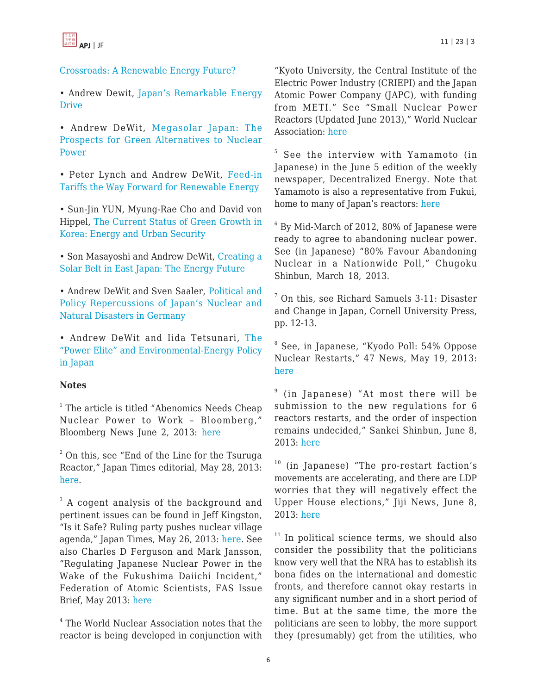



# [Crossroads: A Renewable Energy Future?](http://www.japanfocus.org/-Andrew-DeWit/3831)

• Andrew Dewit[, Japan's Remarkable Energy](http://www.japanfocus.org/-Jeff-Kingston/3822) [Drive](http://www.japanfocus.org/-Jeff-Kingston/3822)

• Andrew DeWit, [Megasolar Japan: The](http://www.japanfocus.org/-Andrew-DeWit/3679) [Prospects for Green Alternatives to Nuclear](http://www.japanfocus.org/-Andrew-DeWit/3679) [Power](http://www.japanfocus.org/-Andrew-DeWit/3679)

• Peter Lynch and Andrew DeWit, [Feed-in](http://www.japanfocus.org/-Peter-Lynch/3654) [Tariffs the Way Forward for Renewable Energy](http://www.japanfocus.org/-Peter-Lynch/3654)

• Sun-Jin YUN, Myung-Rae Cho and David von Hippel, [The Current Status of Green Growth in](http://www.japanfocus.org/-Sun_Jin-YUN/3628) [Korea: Energy and Urban Security](http://www.japanfocus.org/-Sun_Jin-YUN/3628)

• Son Masayoshi and Andrew DeWit, [Creating a](http://www.japanfocus.org/-Andrew-DeWit/3603) [Solar Belt in East Japan: The Energy Future](http://www.japanfocus.org/-Andrew-DeWit/3603)

• Andrew DeWit and Sven Saaler, [Political and](http://www.japanfocus.org/-Andrew-DeWit/3525) [Policy Repercussions of Japan's Nuclear and](http://www.japanfocus.org/-Andrew-DeWit/3525) [Natural Disasters in Germany](http://www.japanfocus.org/-Andrew-DeWit/3525)

• Andrew DeWit and Iida Tetsunari, [The](http://www.japanfocus.org/-Iida-Tetsunari/3479) ["Power Elite" and Environmental-Energy Policy](http://www.japanfocus.org/-Iida-Tetsunari/3479) [in Japan](http://www.japanfocus.org/-Iida-Tetsunari/3479)

## **Notes**

<sup>1</sup> The article is titled "Abenomics Needs Cheap Nuclear Power to Work – Bloomberg," Bloomberg News June 2, 2013: [here](http://www.bloomberg.com/news/2013-06-02/abenomics-needs-cheap-nuclear-power-to-work.html)

 $^2$  On this, see "End of the Line for the Tsuruga Reactor," Japan Times editorial, May 28, 2013: [here.](http://www.japantimes.co.jp/opinion/2013/05/28/editorials/end-of-the-line-for-tsuruga-reactor/)

 $3$  A cogent analysis of the background and pertinent issues can be found in Jeff Kingston, "Is it Safe? Ruling party pushes nuclear village agenda," Japan Times, May 26, 2013: [here.](http://www.japantimes.co.jp/opinion/2013/05/26/commentary/is-it-safe-ruling-party-pushes-nuclear-village-agenda/) See also Charles D Ferguson and Mark Jansson, "Regulating Japanese Nuclear Power in the Wake of the Fukushima Daiichi Incident," Federation of Atomic Scientists, FAS Issue Brief, May 2013: [here](http://blogs.fas.org/wp-content/uploads/2013/05/Regulating_Japanese_Nuclear_13May13.pdf)

4 The World Nuclear Association notes that the reactor is being developed in conjunction with "Kyoto University, the Central Institute of the Electric Power Industry (CRIEPI) and the Japan Atomic Power Company (JAPC), with funding from METI." See "Small Nuclear Power Reactors (Updated June 2013)," World Nuclear Association: [here](http://www.world-nuclear.org/info/Nuclear-Fuel-Cycle/Power-Reactors/Small-Nuclear-Power-Reactors/)

5 See the interview with Yamamoto (in Japanese) in the June 5 edition of the weekly newspaper, Decentralized Energy. Note that Yamamoto is also a representative from Fukui, home to many of Japan's reactors: [here](https://www.jimin.jp/english/profile/members/114798.html)

 $^6$  By Mid-March of 2012, 80% of Japanese were ready to agree to abandoning nuclear power. See (in Japanese) "80% Favour Abandoning Nuclear in a Nationwide Poll," Chugoku Shinbun, March 18, 2013.

7 On this, see Richard Samuels 3-11: Disaster and Change in Japan, Cornell University Press, pp. 12-13.

8 See, in Japanese, "Kyodo Poll: 54% Oppose Nuclear Restarts," 47 News, May 19, 2013: [here](http://www.47news.jp/FN/201305/FN2013051901001474.html)

9 (in Japanese) "At most there will be submission to the new regulations for 6 reactors restarts, and the order of inspection remains undecided," Sankei Shinbun, June 8, 2013: [here](http://sankei.jp.msn.com/economy/news/130608/biz13060808150006-n1.htm)

<sup>10</sup> (in Japanese) "The pro-restart faction's movements are accelerating, and there are LDP worries that they will negatively effect the Upper House elections," Jiji News, June 8, 2013: [here](http://www.jiji.com/jc/c?g=pol_30&k=2013060800209)

 $11$  In political science terms, we should also consider the possibility that the politicians know very well that the NRA has to establish its bona fides on the international and domestic fronts, and therefore cannot okay restarts in any significant number and in a short period of time. But at the same time, the more the politicians are seen to lobby, the more support they (presumably) get from the utilities, who